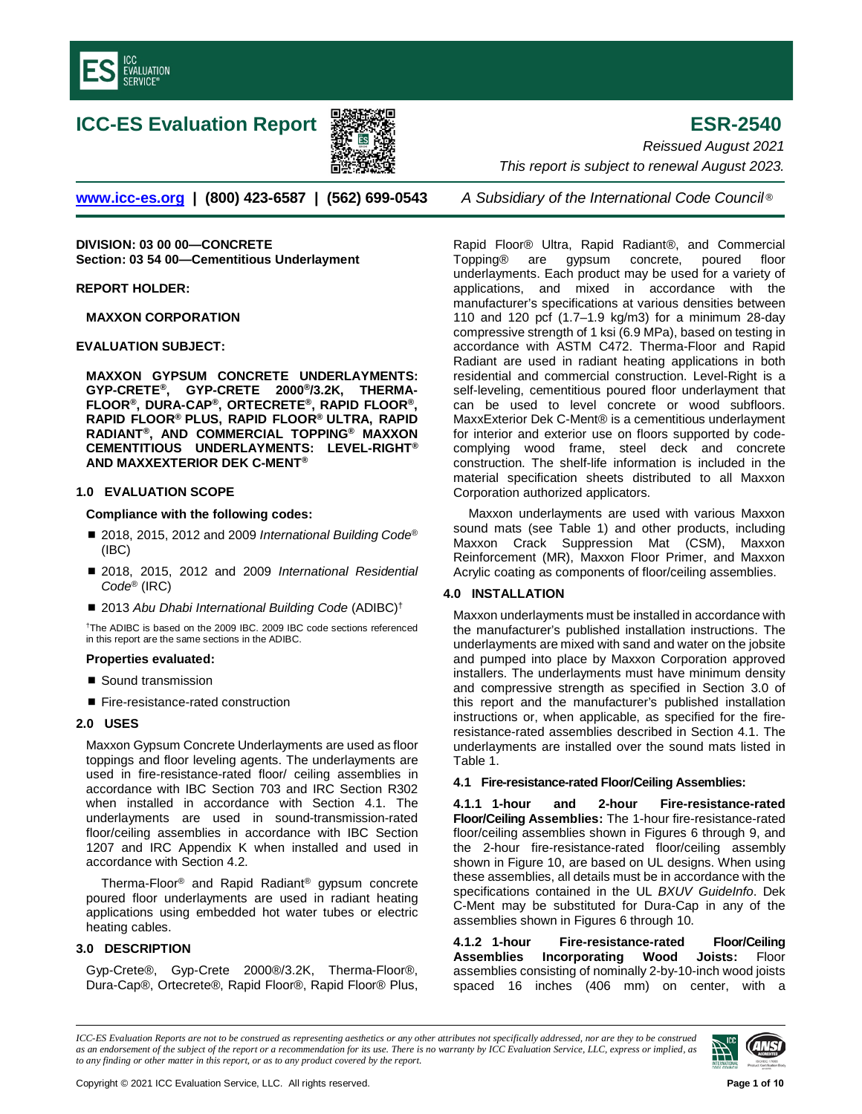

# **ICC-ES Evaluation Report ESR-2540**



**[www.icc-es.org](http://www.icc-es.org/) | (800) 423-6587 | (562) 699-0543** *A Subsidiary of the International Code Council* ®

**DIVISION: 03 00 00—CONCRETE Section: 03 54 00—Cementitious Underlayment**

**REPORT HOLDER:**

**MAXXON CORPORATION**

**EVALUATION SUBJECT:**

**MAXXON GYPSUM CONCRETE UNDERLAYMENTS: GYP-CRETE®, GYP-CRETE 2000®/3.2K, THERMA-FLOOR®, DURA-CAP®, ORTECRETE®, RAPID FLOOR®, RAPID FLOOR® PLUS, RAPID FLOOR® ULTRA, RAPID RADIANT®, AND COMMERCIAL TOPPING® MAXXON CEMENTITIOUS UNDERLAYMENTS: LEVEL-RIGHT® AND MAXXEXTERIOR DEK C-MENT®**

## **1.0 EVALUATION SCOPE**

**Compliance with the following codes:**

- 2018, 2015, 2012 and 2009 *International Building Code®* (IBC)
- 2018, 2015, 2012 and 2009 *International Residential Code*® (IRC)
- 2013 Abu Dhabi International Building Code (ADIBC)<sup>†</sup>

†The ADIBC is based on the 2009 IBC. 2009 IBC code sections referenced in this report are the same sections in the ADIBC.

#### **Properties evaluated:**

- Sound transmission
- Fire-resistance-rated construction

#### **2.0 USES**

Maxxon Gypsum Concrete Underlayments are used as floor toppings and floor leveling agents. The underlayments are used in fire-resistance-rated floor/ ceiling assemblies in accordance with IBC Section 703 and IRC Section R302 when installed in accordance with Section 4.1. The underlayments are used in sound-transmission-rated floor/ceiling assemblies in accordance with IBC Section 1207 and IRC Appendix K when installed and used in accordance with Section 4.2.

Therma-Floor® and Rapid Radiant® gypsum concrete poured floor underlayments are used in radiant heating applications using embedded hot water tubes or electric heating cables.

## **3.0 DESCRIPTION**

Gyp-Crete®, Gyp-Crete 2000®/3.2K, Therma-Floor®, Dura-Cap®, Ortecrete®, Rapid Floor®, Rapid Floor® Plus,

*Reissued August 2021 This report is subject to renewal August 2023.* 

Rapid Floor® Ultra, Rapid Radiant®, and Commercial Topping® are gypsum concrete, poured floor underlayments. Each product may be used for a variety of applications, and mixed in accordance with the manufacturer's specifications at various densities between 110 and 120 pcf (1.7–1.9 kg/m3) for a minimum 28-day compressive strength of 1 ksi (6.9 MPa), based on testing in accordance with ASTM C472. Therma-Floor and Rapid Radiant are used in radiant heating applications in both residential and commercial construction. Level-Right is a self-leveling, cementitious poured floor underlayment that can be used to level concrete or wood subfloors. MaxxExterior Dek C-Ment® is a cementitious underlayment for interior and exterior use on floors supported by codecomplying wood frame, steel deck and concrete construction. The shelf-life information is included in the material specification sheets distributed to all Maxxon Corporation authorized applicators.

Maxxon underlayments are used with various Maxxon sound mats (see Table 1) and other products, including Maxxon Crack Suppression Mat (CSM), Maxxon Reinforcement (MR), Maxxon Floor Primer, and Maxxon Acrylic coating as components of floor/ceiling assemblies.

#### **4.0 INSTALLATION**

Maxxon underlayments must be installed in accordance with the manufacturer's published installation instructions. The underlayments are mixed with sand and water on the jobsite and pumped into place by Maxxon Corporation approved installers. The underlayments must have minimum density and compressive strength as specified in Section 3.0 of this report and the manufacturer's published installation instructions or, when applicable, as specified for the fireresistance-rated assemblies described in Section 4.1. The underlayments are installed over the sound mats listed in Table 1.

**4.1 Fire-resistance-rated Floor/Ceiling Assemblies:**

**4.1.1 1-hour and 2-hour Fire-resistance-rated Floor/Ceiling Assemblies:** The 1-hour fire-resistance-rated floor/ceiling assemblies shown in Figures 6 through 9, and the 2-hour fire-resistance-rated floor/ceiling assembly shown in Figure 10, are based on UL designs. When using these assemblies, all details must be in accordance with the specifications contained in the UL *BXUV GuideInfo*. Dek C-Ment may be substituted for Dura-Cap in any of the assemblies shown in Figures 6 through 10.

**4.1.2 1-hour Fire-resistance-rated Floor/Ceiling Assemblies Incorporating Wood Joists:** Floor assemblies consisting of nominally 2-by-10-inch wood joists spaced 16 inches (406 mm) on center, with a

*ICC-ES Evaluation Reports are not to be construed as representing aesthetics or any other attributes not specifically addressed, nor are they to be construed as an endorsement of the subject of the report or a recommendation for its use. There is no warranty by ICC Evaluation Service, LLC, express or implied, as to any finding or other matter in this report, or as to any product covered by the report.*

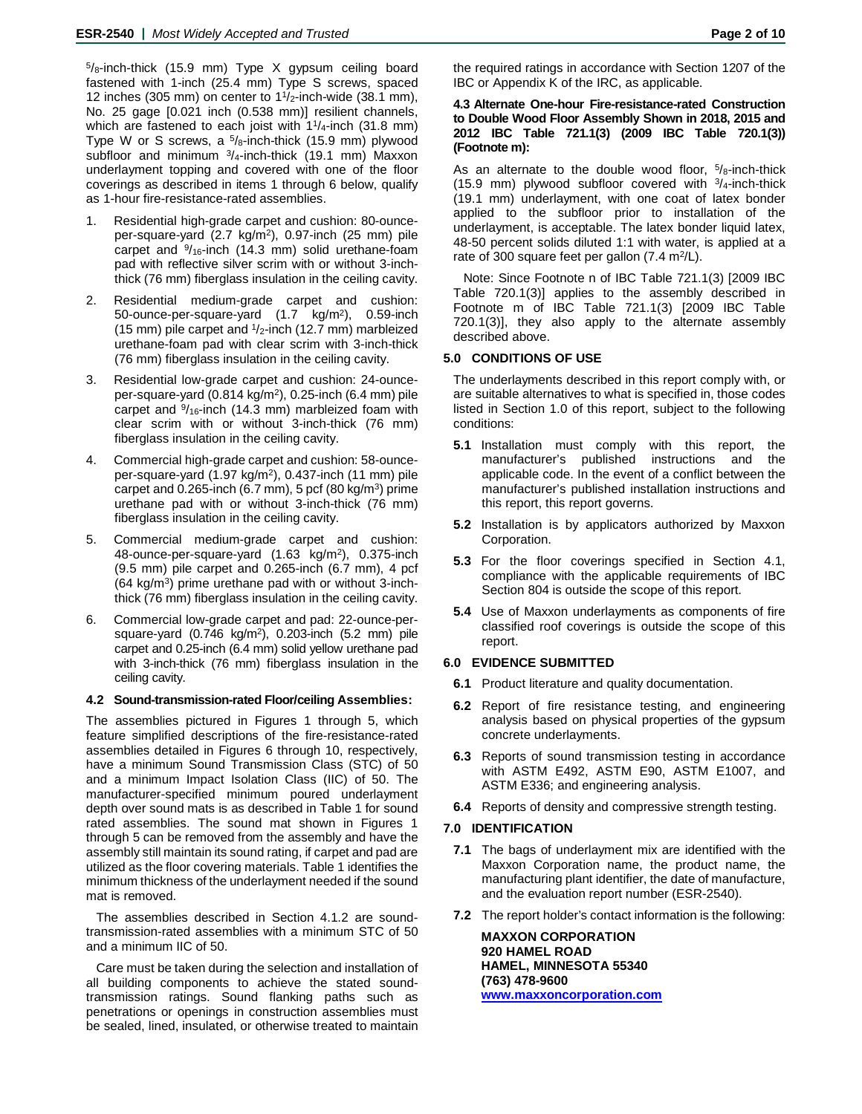$5/8$ -inch-thick (15.9 mm) Type X gypsum ceiling board fastened with 1-inch (25.4 mm) Type S screws, spaced 12 inches (305 mm) on center to  $1\frac{1}{2}$ -inch-wide (38.1 mm), No. 25 gage [0.021 inch (0.538 mm)] resilient channels, which are fastened to each joist with  $11/4$ -inch (31.8 mm) Type W or S screws, a  $5/8$ -inch-thick (15.9 mm) plywood subfloor and minimum  $\frac{3}{4}$ -inch-thick (19.1 mm) Maxxon underlayment topping and covered with one of the floor coverings as described in items 1 through 6 below, qualify as 1-hour fire-resistance-rated assemblies.

- 1. Residential high-grade carpet and cushion: 80-ounceper-square-yard (2.7 kg/m2), 0.97-inch (25 mm) pile carpet and  $\frac{9}{16}$ -inch (14.3 mm) solid urethane-foam pad with reflective silver scrim with or without 3-inchthick (76 mm) fiberglass insulation in the ceiling cavity.
- 2. Residential medium-grade carpet and cushion: 50-ounce-per-square-yard (1.7 kg/m2), 0.59-inch (15 mm) pile carpet and  $1/2$ -inch (12.7 mm) marbleized urethane-foam pad with clear scrim with 3-inch-thick (76 mm) fiberglass insulation in the ceiling cavity.
- 3. Residential low-grade carpet and cushion: 24-ounceper-square-yard (0.814 kg/m2), 0.25-inch (6.4 mm) pile carpet and  $\frac{9}{16}$ -inch (14.3 mm) marbleized foam with clear scrim with or without 3-inch-thick (76 mm) fiberglass insulation in the ceiling cavity.
- 4. Commercial high-grade carpet and cushion: 58-ounceper-square-yard (1.97 kg/m2), 0.437-inch (11 mm) pile carpet and  $0.265$ -inch (6.7 mm), 5 pcf (80 kg/m<sup>3</sup>) prime urethane pad with or without 3-inch-thick (76 mm) fiberglass insulation in the ceiling cavity.
- 5. Commercial medium-grade carpet and cushion: 48-ounce-per-square-yard (1.63 kg/m2), 0.375-inch (9.5 mm) pile carpet and 0.265-inch (6.7 mm), 4 pcf (64 kg/m3) prime urethane pad with or without 3-inchthick (76 mm) fiberglass insulation in the ceiling cavity.
- 6. Commercial low-grade carpet and pad: 22-ounce-persquare-yard (0.746 kg/m2), 0.203-inch (5.2 mm) pile carpet and 0.25-inch (6.4 mm) solid yellow urethane pad with 3-inch-thick (76 mm) fiberglass insulation in the ceiling cavity.

## **4.2 Sound-transmission-rated Floor/ceiling Assemblies:**

The assemblies pictured in Figures 1 through 5, which feature simplified descriptions of the fire-resistance-rated assemblies detailed in Figures 6 through 10, respectively, have a minimum Sound Transmission Class (STC) of 50 and a minimum Impact Isolation Class (IIC) of 50. The manufacturer-specified minimum poured underlayment depth over sound mats is as described in Table 1 for sound rated assemblies. The sound mat shown in Figures 1 through 5 can be removed from the assembly and have the assembly still maintain its sound rating, if carpet and pad are utilized as the floor covering materials. Table 1 identifies the minimum thickness of the underlayment needed if the sound mat is removed.

The assemblies described in Section 4.1.2 are soundtransmission-rated assemblies with a minimum STC of 50 and a minimum IIC of 50.

Care must be taken during the selection and installation of all building components to achieve the stated soundtransmission ratings. Sound flanking paths such as penetrations or openings in construction assemblies must be sealed, lined, insulated, or otherwise treated to maintain

the required ratings in accordance with Section 1207 of the IBC or Appendix K of the IRC, as applicable.

#### **4.3 Alternate One-hour Fire-resistance-rated Construction to Double Wood Floor Assembly Shown in 2018, 2015 and 2012 IBC Table 721.1(3) (2009 IBC Table 720.1(3)) (Footnote m):**

As an alternate to the double wood floor,  $5\frac{1}{8}$ -inch-thick (15.9 mm) plywood subfloor covered with  $\frac{3}{4}$ -inch-thick (19.1 mm) underlayment, with one coat of latex bonder applied to the subfloor prior to installation of the underlayment, is acceptable. The latex bonder liquid latex, 48-50 percent solids diluted 1:1 with water, is applied at a rate of 300 square feet per gallon (7.4 m<sup>2</sup>/L).

Note: Since Footnote n of IBC Table 721.1(3) [2009 IBC Table 720.1(3)] applies to the assembly described in Footnote m of IBC Table 721.1(3) [2009 IBC Table 720.1(3)], they also apply to the alternate assembly described above.

## **5.0 CONDITIONS OF USE**

The underlayments described in this report comply with, or are suitable alternatives to what is specified in, those codes listed in Section 1.0 of this report, subject to the following conditions:

- **5.1** Installation must comply with this report, the manufacturer's published instructions and the applicable code. In the event of a conflict between the manufacturer's published installation instructions and this report, this report governs.
- **5.2** Installation is by applicators authorized by Maxxon Corporation.
- **5.3** For the floor coverings specified in Section 4.1, compliance with the applicable requirements of IBC Section 804 is outside the scope of this report.
- **5.4** Use of Maxxon underlayments as components of fire classified roof coverings is outside the scope of this report.

#### **6.0 EVIDENCE SUBMITTED**

- **6.1** Product literature and quality documentation.
- **6.2** Report of fire resistance testing, and engineering analysis based on physical properties of the gypsum concrete underlayments.
- **6.3** Reports of sound transmission testing in accordance with ASTM E492, ASTM E90, ASTM E1007, and ASTM E336; and engineering analysis.
- **6.4** Reports of density and compressive strength testing.

#### **7.0 IDENTIFICATION**

- **7.1** The bags of underlayment mix are identified with the Maxxon Corporation name, the product name, the manufacturing plant identifier, the date of manufacture, and the evaluation report number (ESR-2540).
- **7.2** The report holder's contact information is the following:

**MAXXON CORPORATION 920 HAMEL ROAD HAMEL, MINNESOTA 55340 (763) 478-9600 [www.maxxoncorporation.com](http://www.maxxoncorporation.com/)**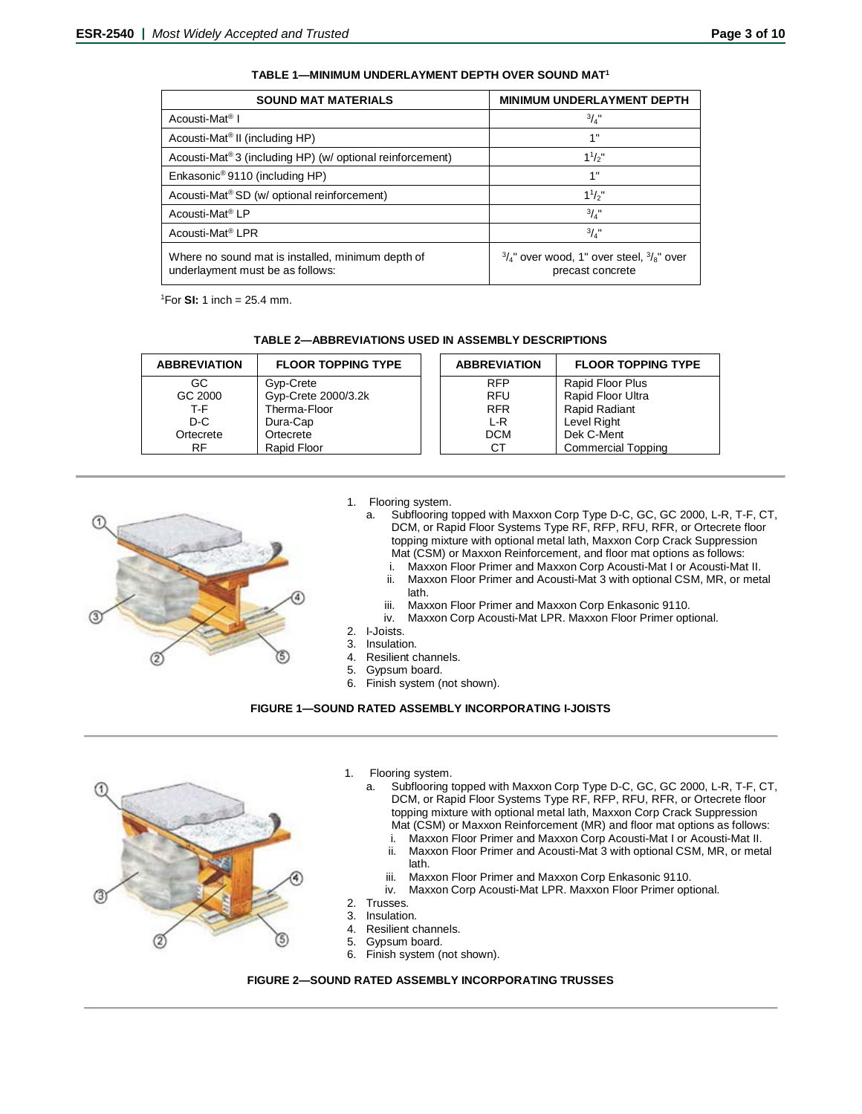| <b>SOUND MAT MATERIALS</b>                                                            | <b>MINIMUM UNDERLAYMENT DEPTH</b>                                                  |
|---------------------------------------------------------------------------------------|------------------------------------------------------------------------------------|
| Acousti-Mat <sup>®</sup> I                                                            | $^{3}/_{4}$ "                                                                      |
| Acousti-Mat <sup>®</sup> II (including HP)                                            | 1"                                                                                 |
| Acousti-Mat®3 (including HP) (w/ optional reinforcement)                              | $1^{1}/2$ "                                                                        |
| Enkasonic <sup>®</sup> 9110 (including HP)                                            | 1"                                                                                 |
| Acousti-Mat <sup>®</sup> SD (w/ optional reinforcement)                               | $1^{1}/2$ "                                                                        |
| Acousti-Mat <sup>®</sup> LP                                                           | $^{3}/_{4}$ "                                                                      |
| Acousti-Mat <sup>®</sup> LPR                                                          | $^{3}/_{4}$ "                                                                      |
| Where no sound mat is installed, minimum depth of<br>underlayment must be as follows: | $\frac{3}{4}$ " over wood, 1" over steel, $\frac{3}{8}$ " over<br>precast concrete |

**TABLE 1—MINIMUM UNDERLAYMENT DEPTH OVER SOUND MAT1**

1 For **SI:** 1 inch = 25.4 mm.

| <b>ABBREVIATION</b> | <b>FLOOR TOPPING TYPE</b> | <b>ABBREVIATION</b> | <b>FLOOR TOPPING TYPE</b> |
|---------------------|---------------------------|---------------------|---------------------------|
| GC.                 | Gyp-Crete                 | <b>RFP</b>          | Rapid Floor Plus          |
| GC 2000             | Gyp-Crete 2000/3.2k       | <b>RFU</b>          | Rapid Floor Ultra         |
| T-F.                | Therma-Floor              | <b>RFR</b>          | Rapid Radiant             |
| D-C                 | Dura-Cap                  | $L-R$               | Level Right               |
| Ortecrete           | Ortecrete                 | <b>DCM</b>          | Dek C-Ment                |
| RF.                 | Rapid Floor               | CТ                  | <b>Commercial Topping</b> |



#### 1. Flooring system.

a. Subflooring topped with Maxxon Corp Type D-C, GC, GC 2000, L-R, T-F, CT, DCM, or Rapid Floor Systems Type RF, RFP, RFU, RFR, or Ortecrete floor topping mixture with optional metal lath, Maxxon Corp Crack Suppression Mat (CSM) or Maxxon Reinforcement, and floor mat options as follows:

- i. Maxxon Floor Primer and Maxxon Corp Acousti-Mat I or Acousti-Mat II.<br>ii. Maxxon Floor Primer and Acousti-Mat 3 with optional CSM, MR, or met Maxxon Floor Primer and Acousti-Mat 3 with optional CSM, MR, or metal
- lath. iii. Maxxon Floor Primer and Maxxon Corp Enkasonic 9110.
- 
- iv. Maxxon Corp Acousti-Mat LPR. Maxxon Floor Primer optional.
- 2. I-Joists.
- Insulation. 4. Resilient channels.
- 5. Gypsum board.
- 6. Finish system (not shown).
- 

#### **FIGURE 1—SOUND RATED ASSEMBLY INCORPORATING I-JOISTS**



- 1. Flooring system.
	- a. Subflooring topped with Maxxon Corp Type D-C, GC, GC 2000, L-R, T-F, CT, DCM, or Rapid Floor Systems Type RF, RFP, RFU, RFR, or Ortecrete floor topping mixture with optional metal lath, Maxxon Corp Crack Suppression Mat (CSM) or Maxxon Reinforcement (MR) and floor mat options as follows:
		- i. Maxxon Floor Primer and Maxxon Corp Acousti-Mat I or Acousti-Mat II.
		- ii. Maxxon Floor Primer and Acousti-Mat 3 with optional CSM, MR, or metal lath.
		- iii. Maxxon Floor Primer and Maxxon Corp Enkasonic 9110.<br>iv. Maxxon Corp Acousti-Mat LPR Maxxon Floor Primer opt
		- Maxxon Corp Acousti-Mat LPR. Maxxon Floor Primer optional.
- 2. Trusses.
- 3. Insulation.
- Resilient channels.
- 5. Gypsum board.
- 6. Finish system (not shown).

#### **FIGURE 2—SOUND RATED ASSEMBLY INCORPORATING TRUSSES**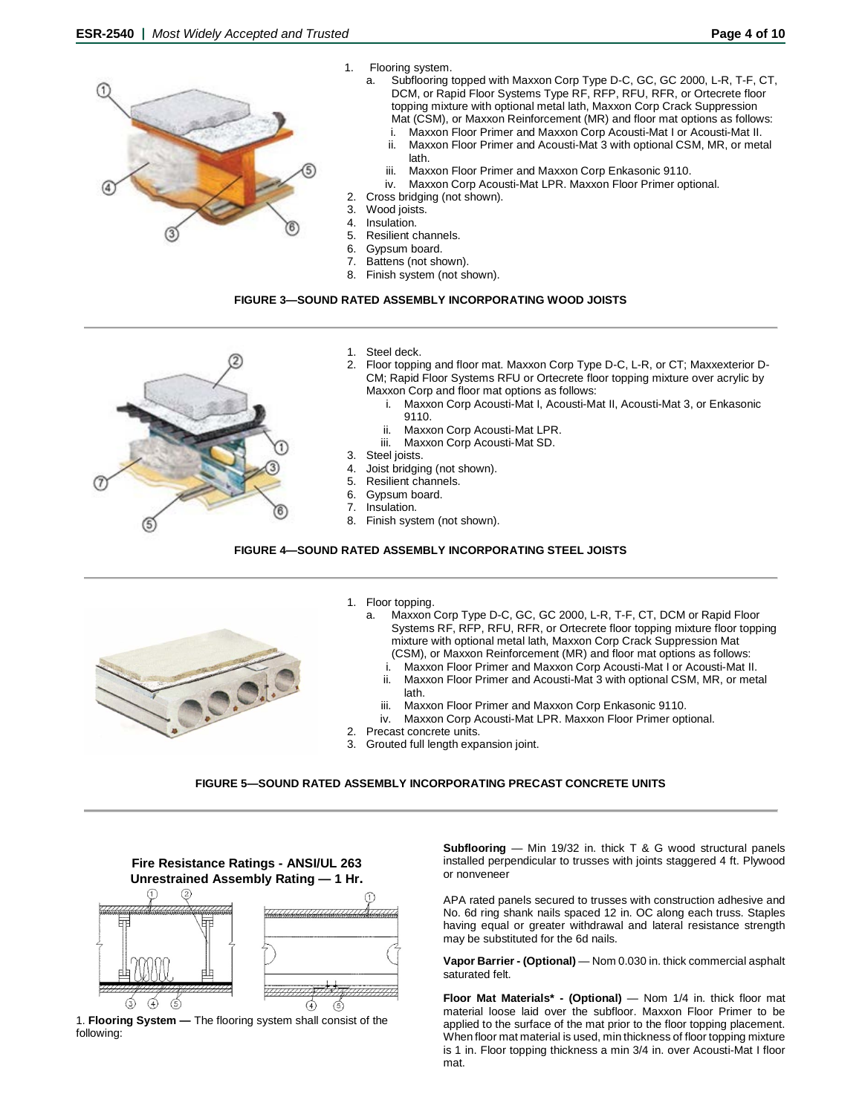- 1. Flooring system.
- a. Subflooring topped with Maxxon Corp Type D-C, GC, GC 2000, L-R, T-F, CT, T DCM, or Rapid Floor Systems Type RF, RFP, RFU, RFR, or Ortecrete floor topping mixture with optional metal lath, Maxxon Corp Crack Suppression Mat (CSM), or Maxxon Reinforcement (MR) and floor mat options as follows: i. Maxxon Floor Primer and Maxxon Corp Acousti-Mat I or Acousti-Mat II. Maxxon Floor Primer and Acousti-Mat 3 with optional CSM, MR, or metal lath. iii. Maxxon Floor Primer and Maxxon Corp Enkasonic 9110. iv. Maxxon Corp Acousti-Mat LPR. Maxxon Floor Primer optional. 2. Cross bridging (not shown). 3. Wood joists. 4. Insulation. 5. Resilient channels.
	- 6. Gypsum board.<br>7. Battens (not she Battens (not shown).
	- 8. Finish system (not shown).

#### **FIGURE 3—SOUND RATED ASSEMBLY INCORPORATING WOOD JOISTS**



- 1. Steel deck.
- 2. Floor topping and floor mat. Maxxon Corp Type D-C, L-R, or CT; Maxxexterior D-CM; Rapid Floor Systems RFU or Ortecrete floor topping mixture over acrylic by Maxxon Corp and floor mat options as follows:
	- i. Maxxon Corp Acousti-Mat I, Acousti-Mat II, Acousti-Mat 3, or Enkasonic 9110.
	-
	- ii. Maxxon Corp Acousti-Mat LPR.<br>iii. Maxxon Corp Acousti-Mat SD. Maxxon Corp Acousti-Mat SD.
	-
- 3. Steel joists. 4. Joist bridging (not shown).
- 5. Resilient channels.
- 6. Gypsum board.<br>7. Insulation.
- Insulation.
- 8. Finish system (not shown).

## **FIGURE 4—SOUND RATED ASSEMBLY INCORPORATING STEEL JOISTS**



- 1. Floor topping.
	- Maxxon Corp Type D-C, GC, GC 2000, L-R, T-F, CT, DCM or Rapid Floor Systems RF, RFP, RFU, RFR, or Ortecrete floor topping mixture floor topping mixture with optional metal lath, Maxxon Corp Crack Suppression Mat (CSM), or Maxxon Reinforcement (MR) and floor mat options as follows:
		- i. Maxxon Floor Primer and Maxxon Corp Acousti-Mat I or Acousti-Mat II.<br>ii Maxxon Floor Primer and Acousti-Mat 3 with optional CSM MR, or metal
		- Maxxon Floor Primer and Acousti-Mat 3 with optional CSM, MR, or metal lath.
		- iii. Maxxon Floor Primer and Maxxon Corp Enkasonic 9110.
	- iv. Maxxon Corp Acousti-Mat LPR. Maxxon Floor Primer optional.
- 2. Precast concrete units.
- 3. Grouted full length expansion joint.

#### **FIGURE 5—SOUND RATED ASSEMBLY INCORPORATING PRECAST CONCRETE UNITS**



following:

**Subflooring** — Min 19/32 in. thick T & G wood structural panels installed perpendicular to trusses with joints staggered 4 ft. Plywood or nonveneer

APA rated panels secured to trusses with construction adhesive and No. 6d ring shank nails spaced 12 in. OC along each truss. Staples having equal or greater withdrawal and lateral resistance strength may be substituted for the 6d nails.

**Vapor Barrier - (Optional)** — Nom 0.030 in. thick commercial asphalt saturated felt.

**Floor Mat Materials\* - (Optional)** — Nom 1/4 in. thick floor mat material loose laid over the subfloor. Maxxon Floor Primer to be applied to the surface of the mat prior to the floor topping placement. When floor mat material is used, min thickness of floor topping mixture is 1 in. Floor topping thickness a min 3/4 in. over Acousti-Mat I floor mat.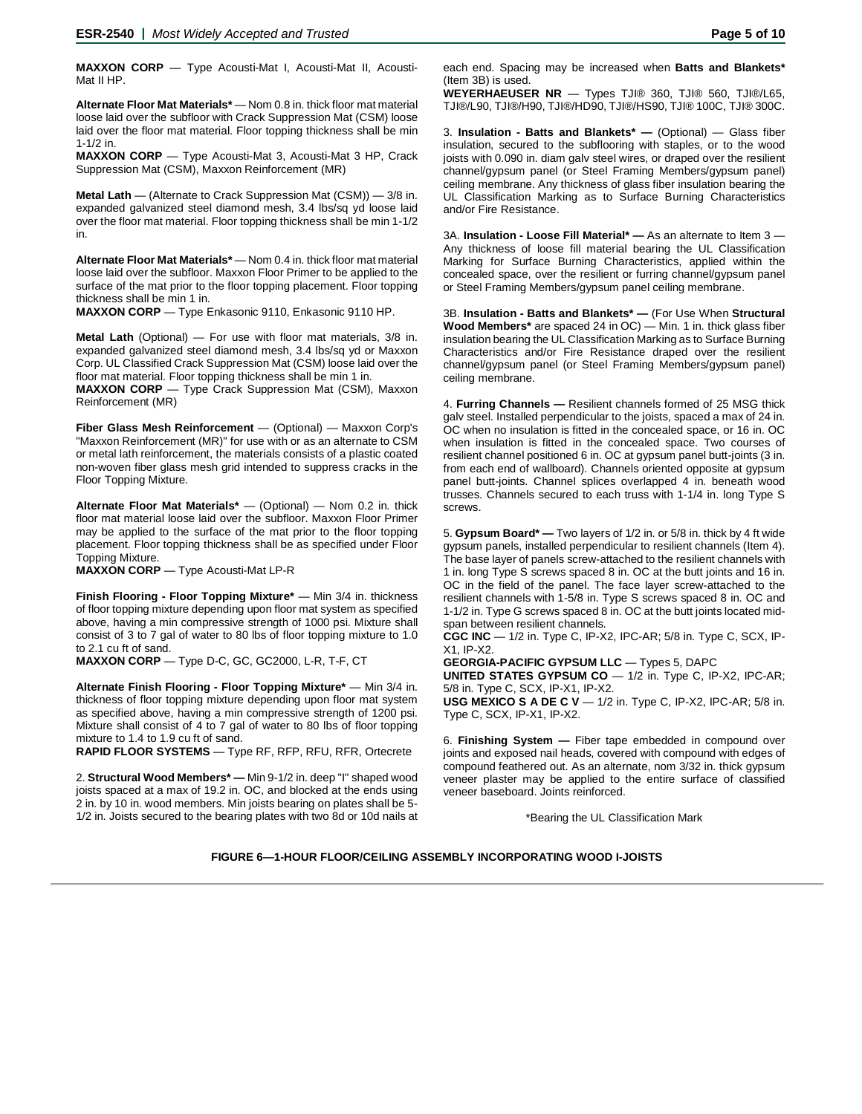**MAXXON CORP** — Type Acousti-Mat I, Acousti-Mat II, Acousti-Mat II HP.

**Alternate Floor Mat Materials\*** — Nom 0.8 in. thick floor mat material loose laid over the subfloor with Crack Suppression Mat (CSM) loose laid over the floor mat material. Floor topping thickness shall be min 1-1/2 in.

**MAXXON CORP** — Type Acousti-Mat 3, Acousti-Mat 3 HP, Crack Suppression Mat (CSM), Maxxon Reinforcement (MR)

**Metal Lath** — (Alternate to Crack Suppression Mat (CSM)) — 3/8 in. expanded galvanized steel diamond mesh, 3.4 lbs/sq yd loose laid over the floor mat material. Floor topping thickness shall be min 1-1/2 in.

**Alternate Floor Mat Materials\*** — Nom 0.4 in. thick floor mat material loose laid over the subfloor. Maxxon Floor Primer to be applied to the surface of the mat prior to the floor topping placement. Floor topping thickness shall be min 1 in.

**MAXXON CORP** — Type Enkasonic 9110, Enkasonic 9110 HP.

**Metal Lath** (Optional) — For use with floor mat materials, 3/8 in. expanded galvanized steel diamond mesh, 3.4 lbs/sq yd or Maxxon Corp. UL Classified Crack Suppression Mat (CSM) loose laid over the floor mat material. Floor topping thickness shall be min 1 in.

**MAXXON CORP** — Type Crack Suppression Mat (CSM), Maxxon Reinforcement (MR)

**Fiber Glass Mesh Reinforcement** — (Optional) — Maxxon Corp's "Maxxon Reinforcement (MR)" for use with or as an alternate to CSM or metal lath reinforcement, the materials consists of a plastic coated non-woven fiber glass mesh grid intended to suppress cracks in the Floor Topping Mixture.

**Alternate Floor Mat Materials\*** — (Optional) — Nom 0.2 in. thick floor mat material loose laid over the subfloor. Maxxon Floor Primer may be applied to the surface of the mat prior to the floor topping placement. Floor topping thickness shall be as specified under Floor Topping Mixture.

**MAXXON CORP** — Type Acousti-Mat LP-R

**Finish Flooring - Floor Topping Mixture\*** — Min 3/4 in. thickness of floor topping mixture depending upon floor mat system as specified above, having a min compressive strength of 1000 psi. Mixture shall consist of 3 to 7 gal of water to 80 lbs of floor topping mixture to 1.0 to 2.1 cu ft of sand.

**MAXXON CORP** — Type D-C, GC, GC2000, L-R, T-F, CT

**Alternate Finish Flooring - Floor Topping Mixture\*** — Min 3/4 in. thickness of floor topping mixture depending upon floor mat system as specified above, having a min compressive strength of 1200 psi. Mixture shall consist of 4 to 7 gal of water to 80 lbs of floor topping mixture to 1.4 to 1.9 cu ft of sand.

**RAPID FLOOR SYSTEMS** — Type RF, RFP, RFU, RFR, Ortecrete

2. **Structural Wood Members\* —** Min 9-1/2 in. deep "I" shaped wood joists spaced at a max of 19.2 in. OC, and blocked at the ends using 2 in. by 10 in. wood members. Min joists bearing on plates shall be 5- 1/2 in. Joists secured to the bearing plates with two 8d or 10d nails at each end. Spacing may be increased when **Batts and Blankets\*** (Item 3B) is used.

**WEYERHAEUSER NR** — Types TJI® 360, TJI® 560, TJI®/L65, TJI®/L90, TJI®/H90, TJI®/HD90, TJI®/HS90, TJI® 100C, TJI® 300C.

3. **Insulation - Batts and Blankets\* —** (Optional) — Glass fiber insulation, secured to the subflooring with staples, or to the wood joists with 0.090 in. diam galv steel wires, or draped over the resilient channel/gypsum panel (or Steel Framing Members/gypsum panel) ceiling membrane. Any thickness of glass fiber insulation bearing the UL Classification Marking as to Surface Burning Characteristics and/or Fire Resistance.

3A. **Insulation - Loose Fill Material\* —** As an alternate to Item 3 — Any thickness of loose fill material bearing the UL Classification Marking for Surface Burning Characteristics, applied within the concealed space, over the resilient or furring channel/gypsum panel or Steel Framing Members/gypsum panel ceiling membrane.

3B. **Insulation - Batts and Blankets\* —** (For Use When **Structural Wood Members\*** are spaced 24 in OC) — Min. 1 in. thick glass fiber insulation bearing the UL Classification Marking as to Surface Burning Characteristics and/or Fire Resistance draped over the resilient channel/gypsum panel (or Steel Framing Members/gypsum panel) ceiling membrane.

4. **Furring Channels —** Resilient channels formed of 25 MSG thick galv steel. Installed perpendicular to the joists, spaced a max of 24 in. OC when no insulation is fitted in the concealed space, or 16 in. OC when insulation is fitted in the concealed space. Two courses of resilient channel positioned 6 in. OC at gypsum panel butt-joints (3 in. from each end of wallboard). Channels oriented opposite at gypsum panel butt-joints. Channel splices overlapped 4 in. beneath wood trusses. Channels secured to each truss with 1-1/4 in. long Type S screws.

5. **Gypsum Board\* —** Two layers of 1/2 in. or 5/8 in. thick by 4 ft wide gypsum panels, installed perpendicular to resilient channels (Item 4). The base layer of panels screw-attached to the resilient channels with 1 in. long Type S screws spaced 8 in. OC at the butt joints and 16 in. OC in the field of the panel. The face layer screw-attached to the resilient channels with 1-5/8 in. Type S screws spaced 8 in. OC and 1-1/2 in. Type G screws spaced 8 in. OC at the butt joints located midspan between resilient channels.

**CGC INC** — 1/2 in. Type C, IP-X2, IPC-AR; 5/8 in. Type C, SCX, IP-X1, IP-X2.

**GEORGIA-PACIFIC GYPSUM LLC** — Types 5, DAPC

**UNITED STATES GYPSUM CO** — 1/2 in. Type C, IP-X2, IPC-AR; 5/8 in. Type C, SCX, IP-X1, IP-X2.

**USG MEXICO S A DE C V** — 1/2 in. Type C, IP-X2, IPC-AR; 5/8 in. Type C, SCX, IP-X1, IP-X2.

6. **Finishing System —** Fiber tape embedded in compound over joints and exposed nail heads, covered with compound with edges of compound feathered out. As an alternate, nom 3/32 in. thick gypsum veneer plaster may be applied to the entire surface of classified veneer baseboard. Joints reinforced.

\*Bearing the UL Classification Mark

**FIGURE 6—1-HOUR FLOOR/CEILING ASSEMBLY INCORPORATING WOOD I-JOISTS**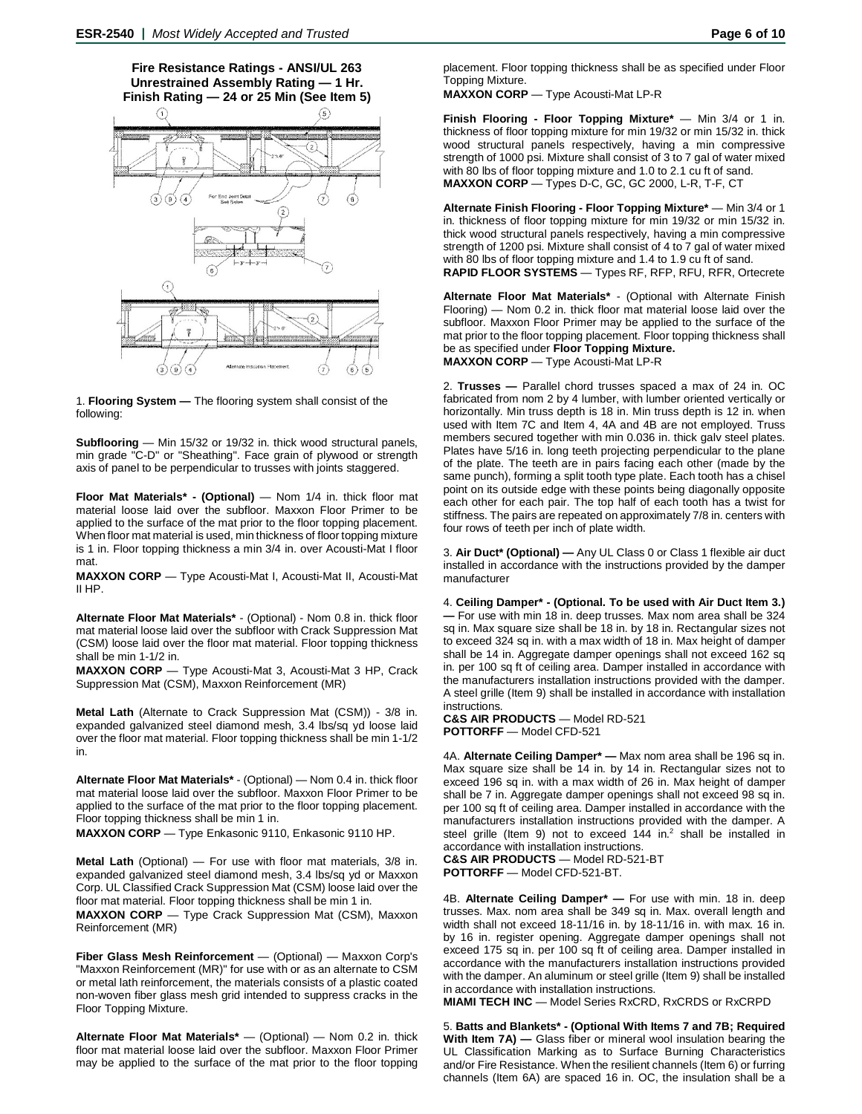**Fire Resistance Ratings - ANSI/UL 263 Unrestrained Assembly Rating — 1 Hr. Finish Rating — 24 or 25 Min (See Item 5)**



1. **Flooring System —** The flooring system shall consist of the following:

**Subflooring** — Min 15/32 or 19/32 in. thick wood structural panels, min grade "C-D" or "Sheathing". Face grain of plywood or strength axis of panel to be perpendicular to trusses with joints staggered.

**Floor Mat Materials\* - (Optional)** — Nom 1/4 in. thick floor mat material loose laid over the subfloor. Maxxon Floor Primer to be applied to the surface of the mat prior to the floor topping placement. When floor mat material is used, min thickness of floor topping mixture is 1 in. Floor topping thickness a min 3/4 in. over Acousti-Mat I floor mat.

**MAXXON CORP** — Type Acousti-Mat I, Acousti-Mat II, Acousti-Mat II HP.

**Alternate Floor Mat Materials\*** - (Optional) - Nom 0.8 in. thick floor mat material loose laid over the subfloor with Crack Suppression Mat (CSM) loose laid over the floor mat material. Floor topping thickness shall be min 1-1/2 in.

**MAXXON CORP** — Type Acousti-Mat 3, Acousti-Mat 3 HP, Crack Suppression Mat (CSM), Maxxon Reinforcement (MR)

**Metal Lath** (Alternate to Crack Suppression Mat (CSM)) - 3/8 in. expanded galvanized steel diamond mesh, 3.4 lbs/sq yd loose laid over the floor mat material. Floor topping thickness shall be min 1-1/2 in.

**Alternate Floor Mat Materials\*** - (Optional) — Nom 0.4 in. thick floor mat material loose laid over the subfloor. Maxxon Floor Primer to be applied to the surface of the mat prior to the floor topping placement. Floor topping thickness shall be min 1 in.

**MAXXON CORP** — Type Enkasonic 9110, Enkasonic 9110 HP.

**Metal Lath** (Optional) — For use with floor mat materials, 3/8 in. expanded galvanized steel diamond mesh, 3.4 lbs/sq yd or Maxxon Corp. UL Classified Crack Suppression Mat (CSM) loose laid over the floor mat material. Floor topping thickness shall be min 1 in.

**MAXXON CORP** — Type Crack Suppression Mat (CSM), Maxxon Reinforcement (MR)

**Fiber Glass Mesh Reinforcement** — (Optional) — Maxxon Corp's "Maxxon Reinforcement (MR)" for use with or as an alternate to CSM or metal lath reinforcement, the materials consists of a plastic coated non-woven fiber glass mesh grid intended to suppress cracks in the Floor Topping Mixture.

**Alternate Floor Mat Materials\*** — (Optional) — Nom 0.2 in. thick floor mat material loose laid over the subfloor. Maxxon Floor Primer may be applied to the surface of the mat prior to the floor topping placement. Floor topping thickness shall be as specified under Floor Topping Mixture.

**MAXXON CORP** — Type Acousti-Mat LP-R

**Finish Flooring - Floor Topping Mixture\*** — Min 3/4 or 1 in. thickness of floor topping mixture for min 19/32 or min 15/32 in. thick wood structural panels respectively, having a min compressive strength of 1000 psi. Mixture shall consist of 3 to 7 gal of water mixed with 80 lbs of floor topping mixture and 1.0 to 2.1 cu ft of sand. **MAXXON CORP** — Types D-C, GC, GC 2000, L-R, T-F, CT

**Alternate Finish Flooring - Floor Topping Mixture\*** — Min 3/4 or 1 in. thickness of floor topping mixture for min 19/32 or min 15/32 in. thick wood structural panels respectively, having a min compressive strength of 1200 psi. Mixture shall consist of 4 to 7 gal of water mixed with 80 lbs of floor topping mixture and 1.4 to 1.9 cu ft of sand. **RAPID FLOOR SYSTEMS** — Types RF, RFP, RFU, RFR, Ortecrete

**Alternate Floor Mat Materials\*** - (Optional with Alternate Finish Flooring) — Nom 0.2 in. thick floor mat material loose laid over the subfloor. Maxxon Floor Primer may be applied to the surface of the mat prior to the floor topping placement. Floor topping thickness shall be as specified under **Floor Topping Mixture. MAXXON CORP** — Type Acousti-Mat LP-R

2. **Trusses —** Parallel chord trusses spaced a max of 24 in. OC fabricated from nom 2 by 4 lumber, with lumber oriented vertically or horizontally. Min truss depth is 18 in. Min truss depth is 12 in. when used with Item 7C and Item 4, 4A and 4B are not employed. Truss members secured together with min 0.036 in. thick galv steel plates. Plates have 5/16 in. long teeth projecting perpendicular to the plane of the plate. The teeth are in pairs facing each other (made by the same punch), forming a split tooth type plate. Each tooth has a chisel point on its outside edge with these points being diagonally opposite each other for each pair. The top half of each tooth has a twist for stiffness. The pairs are repeated on approximately 7/8 in. centers with four rows of teeth per inch of plate width.

3. **Air Duct\* (Optional) —** Any UL Class 0 or Class 1 flexible air duct installed in accordance with the instructions provided by the damper manufacturer

4. **Ceiling Damper\* - (Optional. To be used with Air Duct Item 3.) —** For use with min 18 in. deep trusses. Max nom area shall be 324 sq in. Max square size shall be 18 in. by 18 in. Rectangular sizes not to exceed 324 sq in. with a max width of 18 in. Max height of damper shall be 14 in. Aggregate damper openings shall not exceed 162 sq in. per 100 sq ft of ceiling area. Damper installed in accordance with the manufacturers installation instructions provided with the damper. A steel grille (Item 9) shall be installed in accordance with installation instructions.

**C&S AIR PRODUCTS** — Model RD-521 **POTTORFF** — Model CFD-521

4A. **Alternate Ceiling Damper\* —** Max nom area shall be 196 sq in. Max square size shall be 14 in. by 14 in. Rectangular sizes not to exceed 196 sq in. with a max width of 26 in. Max height of damper shall be 7 in. Aggregate damper openings shall not exceed 98 sq in. per 100 sq ft of ceiling area. Damper installed in accordance with the manufacturers installation instructions provided with the damper. A steel grille (Item 9) not to exceed  $144$  in.<sup>2</sup> shall be installed in accordance with installation instructions.

**C&S AIR PRODUCTS** — Model RD-521-BT **POTTORFF** — Model CFD-521-BT.

4B. **Alternate Ceiling Damper\* —** For use with min. 18 in. deep trusses. Max. nom area shall be 349 sq in. Max. overall length and width shall not exceed 18-11/16 in. by 18-11/16 in. with max. 16 in. by 16 in. register opening. Aggregate damper openings shall not exceed 175 sq in. per 100 sq ft of ceiling area. Damper installed in accordance with the manufacturers installation instructions provided with the damper. An aluminum or steel grille (Item 9) shall be installed in accordance with installation instructions.

**MIAMI TECH INC** — Model Series RxCRD, RxCRDS or RxCRPD

5. **Batts and Blankets\* - (Optional With Items 7 and 7B; Required With Item 7A)** — Glass fiber or mineral wool insulation bearing the UL Classification Marking as to Surface Burning Characteristics and/or Fire Resistance. When the resilient channels (Item 6) or furring channels (Item 6A) are spaced 16 in. OC, the insulation shall be a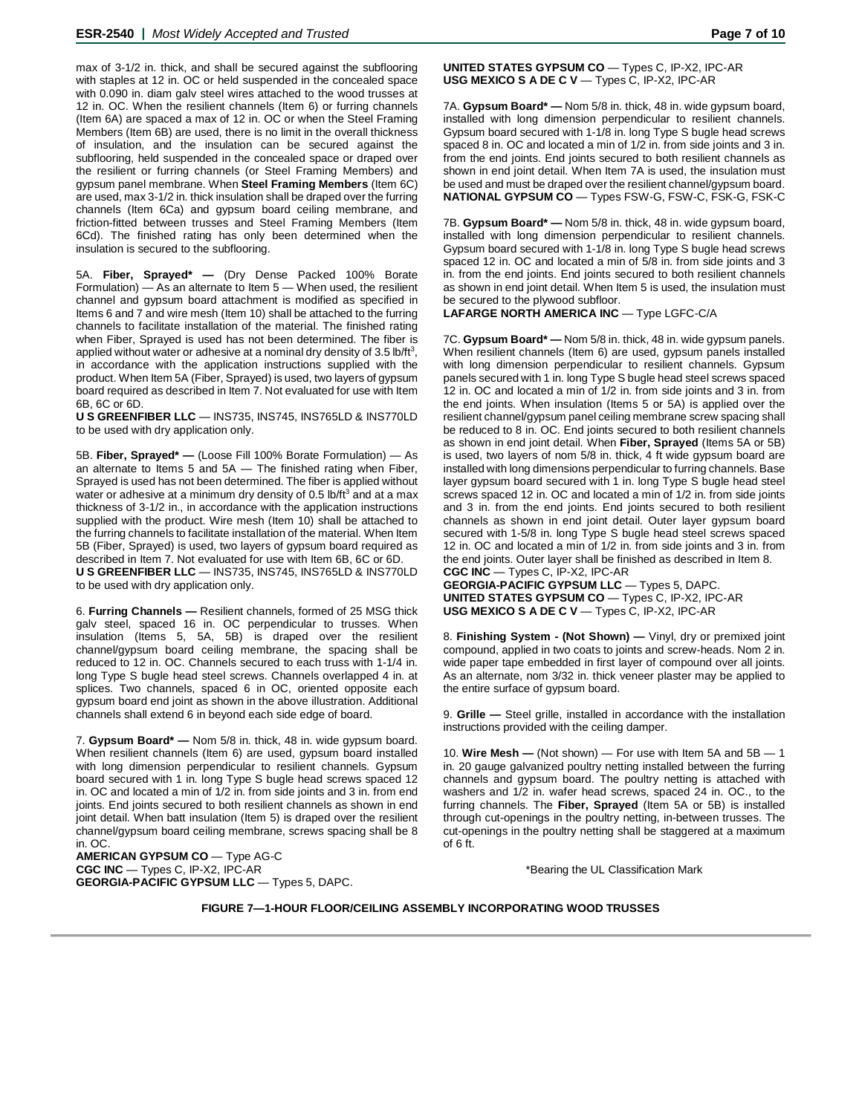max of 3-1/2 in. thick, and shall be secured against the subflooring with staples at 12 in. OC or held suspended in the concealed space with 0.090 in. diam galv steel wires attached to the wood trusses at 12 in. OC. When the resilient channels (Item 6) or furring channels (Item 6A) are spaced a max of 12 in. OC or when the Steel Framing Members (Item 6B) are used, there is no limit in the overall thickness of insulation, and the insulation can be secured against the subflooring, held suspended in the concealed space or draped over the resilient or furring channels (or Steel Framing Members) and gypsum panel membrane. When **Steel Framing Members** (Item 6C) are used, max 3-1/2 in. thick insulation shall be draped over the furring channels (Item 6Ca) and gypsum board ceiling membrane, and friction-fitted between trusses and Steel Framing Members (Item 6Cd). The finished rating has only been determined when the insulation is secured to the subflooring.

5A. **Fiber, Sprayed\* —** (Dry Dense Packed 100% Borate Formulation) — As an alternate to Item 5 — When used, the resilient channel and gypsum board attachment is modified as specified in Items 6 and 7 and wire mesh (Item 10) shall be attached to the furring channels to facilitate installation of the material. The finished rating when Fiber, Sprayed is used has not been determined. The fiber is applied without water or adhesive at a nominal dry density of 3.5 lb/ft<sup>3</sup>, in accordance with the application instructions supplied with the product. When Item 5A (Fiber, Sprayed) is used, two layers of gypsum board required as described in Item 7. Not evaluated for use with Item 6B, 6C or 6D.

**U S GREENFIBER LLC** — INS735, INS745, INS765LD & INS770LD to be used with dry application only.

5B. **Fiber, Sprayed\* —** (Loose Fill 100% Borate Formulation) — As an alternate to Items 5 and 5A — The finished rating when Fiber, Sprayed is used has not been determined. The fiber is applied without water or adhesive at a minimum dry density of 0.5 lb/ft<sup>3</sup> and at a max thickness of 3-1/2 in., in accordance with the application instructions supplied with the product. Wire mesh (Item 10) shall be attached to the furring channels to facilitate installation of the material. When Item 5B (Fiber, Sprayed) is used, two layers of gypsum board required as described in Item 7. Not evaluated for use with Item 6B, 6C or 6D. **U S GREENFIBER LLC** — INS735, INS745, INS765LD & INS770LD to be used with dry application only.

6. **Furring Channels —** Resilient channels, formed of 25 MSG thick galv steel, spaced 16 in. OC perpendicular to trusses. When insulation (Items 5, 5A, 5B) is draped over the resilient channel/gypsum board ceiling membrane, the spacing shall be reduced to 12 in. OC. Channels secured to each truss with 1-1/4 in. long Type S bugle head steel screws. Channels overlapped 4 in. at splices. Two channels, spaced 6 in OC, oriented opposite each gypsum board end joint as shown in the above illustration. Additional channels shall extend 6 in beyond each side edge of board.

7. **Gypsum Board\* —** Nom 5/8 in. thick, 48 in. wide gypsum board. When resilient channels (Item 6) are used, gypsum board installed with long dimension perpendicular to resilient channels. Gypsum board secured with 1 in. long Type S bugle head screws spaced 12 in. OC and located a min of 1/2 in. from side joints and 3 in. from end joints. End joints secured to both resilient channels as shown in end joint detail. When batt insulation (Item 5) is draped over the resilient channel/gypsum board ceiling membrane, screws spacing shall be 8 in. OC.

**AMERICAN GYPSUM CO** — Type AG-C **CGC INC** — Types C, IP-X2, IPC-AR **GEORGIA-PACIFIC GYPSUM LLC** — Types 5, DAPC. **UNITED STATES GYPSUM CO** — Types C, IP-X2, IPC-AR **USG MEXICO S A DE C V** — Types C, IP-X2, IPC-AR

7A. **Gypsum Board\* —** Nom 5/8 in. thick, 48 in. wide gypsum board, installed with long dimension perpendicular to resilient channels. Gypsum board secured with 1-1/8 in. long Type S bugle head screws spaced 8 in. OC and located a min of 1/2 in. from side joints and 3 in. from the end joints. End joints secured to both resilient channels as shown in end joint detail. When Item 7A is used, the insulation must be used and must be draped over the resilient channel/gypsum board. **NATIONAL GYPSUM CO** — Types FSW-G, FSW-C, FSK-G, FSK-C

7B. **Gypsum Board\* —** Nom 5/8 in. thick, 48 in. wide gypsum board, installed with long dimension perpendicular to resilient channels. Gypsum board secured with 1-1/8 in. long Type S bugle head screws spaced 12 in. OC and located a min of 5/8 in. from side joints and 3 in. from the end joints. End joints secured to both resilient channels as shown in end joint detail. When Item 5 is used, the insulation must be secured to the plywood subfloor.

**LAFARGE NORTH AMERICA INC** — Type LGFC-C/A

7C. **Gypsum Board\* —** Nom 5/8 in. thick, 48 in. wide gypsum panels. When resilient channels (Item 6) are used, gypsum panels installed with long dimension perpendicular to resilient channels. Gypsum panels secured with 1 in. long Type S bugle head steel screws spaced 12 in. OC and located a min of 1/2 in. from side joints and 3 in. from the end joints. When insulation (Items 5 or 5A) is applied over the resilient channel/gypsum panel ceiling membrane screw spacing shall be reduced to 8 in. OC. End joints secured to both resilient channels as shown in end joint detail. When **Fiber, Sprayed** (Items 5A or 5B) is used, two layers of nom 5/8 in. thick, 4 ft wide gypsum board are installed with long dimensions perpendicular to furring channels. Base layer gypsum board secured with 1 in. long Type S bugle head steel screws spaced 12 in. OC and located a min of 1/2 in. from side joints and 3 in. from the end joints. End joints secured to both resilient channels as shown in end joint detail. Outer layer gypsum board secured with 1-5/8 in. long Type S bugle head steel screws spaced 12 in. OC and located a min of 1/2 in. from side joints and 3 in. from the end joints. Outer layer shall be finished as described in Item 8. **CGC INC** — Types C, IP-X2, IPC-AR **GEORGIA-PACIFIC GYPSUM LLC** — Types 5, DAPC.

**UNITED STATES GYPSUM CO** — Types C, IP-X2, IPC-AR **USG MEXICO S A DE C V** — Types C, IP-X2, IPC-AR

8. **Finishing System - (Not Shown) —** Vinyl, dry or premixed joint compound, applied in two coats to joints and screw-heads. Nom 2 in. wide paper tape embedded in first layer of compound over all joints. As an alternate, nom 3/32 in. thick veneer plaster may be applied to the entire surface of gypsum board.

9. **Grille —** Steel grille, installed in accordance with the installation instructions provided with the ceiling damper.

10. **Wire Mesh —** (Not shown) — For use with Item 5A and 5B — 1 in. 20 gauge galvanized poultry netting installed between the furring channels and gypsum board. The poultry netting is attached with washers and 1/2 in. wafer head screws, spaced 24 in. OC., to the furring channels. The **Fiber, Sprayed** (Item 5A or 5B) is installed through cut-openings in the poultry netting, in-between trusses. The cut-openings in the poultry netting shall be staggered at a maximum of 6 ft.

\*Bearing the UL Classification Mark

**FIGURE 7—1-HOUR FLOOR/CEILING ASSEMBLY INCORPORATING WOOD TRUSSES**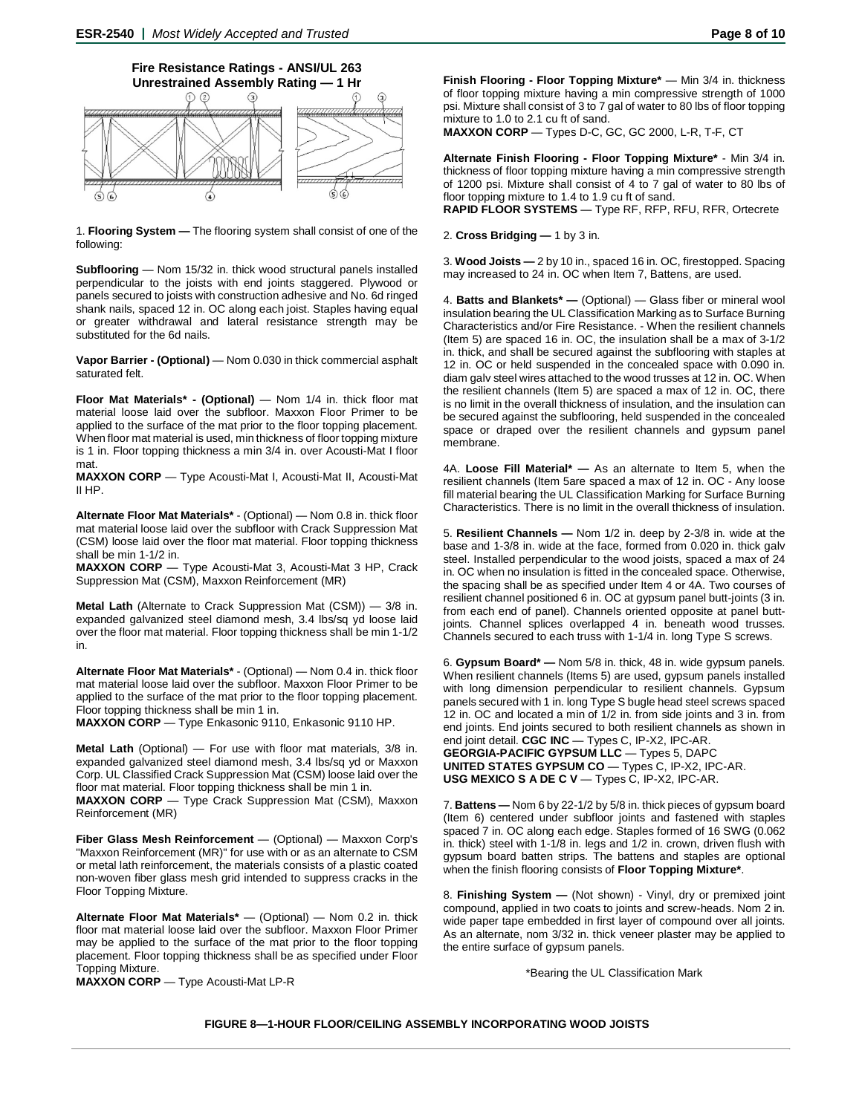

1. **Flooring System —** The flooring system shall consist of one of the following:

**Subflooring** — Nom 15/32 in. thick wood structural panels installed perpendicular to the joists with end joints staggered. Plywood or panels secured to joists with construction adhesive and No. 6d ringed shank nails, spaced 12 in. OC along each joist. Staples having equal or greater withdrawal and lateral resistance strength may be substituted for the 6d nails.

**Vapor Barrier - (Optional)** — Nom 0.030 in thick commercial asphalt saturated felt.

**Floor Mat Materials\* - (Optional)** — Nom 1/4 in. thick floor mat material loose laid over the subfloor. Maxxon Floor Primer to be applied to the surface of the mat prior to the floor topping placement. When floor mat material is used, min thickness of floor topping mixture is 1 in. Floor topping thickness a min 3/4 in. over Acousti-Mat I floor mat.

**MAXXON CORP** — Type Acousti-Mat I, Acousti-Mat II, Acousti-Mat II HP.

**Alternate Floor Mat Materials\*** - (Optional) — Nom 0.8 in. thick floor mat material loose laid over the subfloor with Crack Suppression Mat (CSM) loose laid over the floor mat material. Floor topping thickness shall be min 1-1/2 in.

**MAXXON CORP** — Type Acousti-Mat 3, Acousti-Mat 3 HP, Crack Suppression Mat (CSM), Maxxon Reinforcement (MR)

**Metal Lath** (Alternate to Crack Suppression Mat (CSM)) — 3/8 in. expanded galvanized steel diamond mesh, 3.4 lbs/sq yd loose laid over the floor mat material. Floor topping thickness shall be min 1-1/2 in.

**Alternate Floor Mat Materials\*** - (Optional) — Nom 0.4 in. thick floor mat material loose laid over the subfloor. Maxxon Floor Primer to be applied to the surface of the mat prior to the floor topping placement. Floor topping thickness shall be min 1 in.

**MAXXON CORP** — Type Enkasonic 9110, Enkasonic 9110 HP.

**Metal Lath** (Optional) — For use with floor mat materials, 3/8 in. expanded galvanized steel diamond mesh, 3.4 lbs/sq yd or Maxxon Corp. UL Classified Crack Suppression Mat (CSM) loose laid over the floor mat material. Floor topping thickness shall be min 1 in.

**MAXXON CORP** — Type Crack Suppression Mat (CSM), Maxxon Reinforcement (MR)

**Fiber Glass Mesh Reinforcement** — (Optional) — Maxxon Corp's "Maxxon Reinforcement (MR)" for use with or as an alternate to CSM or metal lath reinforcement, the materials consists of a plastic coated non-woven fiber glass mesh grid intended to suppress cracks in the Floor Topping Mixture.

**Alternate Floor Mat Materials\*** — (Optional) — Nom 0.2 in. thick floor mat material loose laid over the subfloor. Maxxon Floor Primer may be applied to the surface of the mat prior to the floor topping placement. Floor topping thickness shall be as specified under Floor Topping Mixture.

**MAXXON CORP** — Type Acousti-Mat LP-R

**Finish Flooring - Floor Topping Mixture\*** — Min 3/4 in. thickness of floor topping mixture having a min compressive strength of 1000 psi. Mixture shall consist of 3 to 7 gal of water to 80 lbs of floor topping mixture to 1.0 to 2.1 cu ft of sand.

**MAXXON CORP** — Types D-C, GC, GC 2000, L-R, T-F, CT

**Alternate Finish Flooring - Floor Topping Mixture\*** - Min 3/4 in. thickness of floor topping mixture having a min compressive strength of 1200 psi. Mixture shall consist of 4 to 7 gal of water to 80 lbs of floor topping mixture to 1.4 to 1.9 cu ft of sand.

**RAPID FLOOR SYSTEMS** — Type RF, RFP, RFU, RFR, Ortecrete

2. **Cross Bridging —** 1 by 3 in.

3. **Wood Joists —** 2 by 10 in., spaced 16 in. OC, firestopped. Spacing may increased to 24 in. OC when Item 7, Battens, are used.

4. **Batts and Blankets\* —** (Optional) — Glass fiber or mineral wool insulation bearing the UL Classification Marking as to Surface Burning Characteristics and/or Fire Resistance. - When the resilient channels (Item 5) are spaced 16 in. OC, the insulation shall be a max of 3-1/2 in. thick, and shall be secured against the subflooring with staples at 12 in. OC or held suspended in the concealed space with 0.090 in. diam galv steel wires attached to the wood trusses at 12 in. OC. When the resilient channels (Item 5) are spaced a max of 12 in. OC, there is no limit in the overall thickness of insulation, and the insulation can be secured against the subflooring, held suspended in the concealed space or draped over the resilient channels and gypsum panel membrane.

4A. **Loose Fill Material\* —** As an alternate to Item 5, when the resilient channels (Item 5are spaced a max of 12 in. OC - Any loose fill material bearing the UL Classification Marking for Surface Burning Characteristics. There is no limit in the overall thickness of insulation.

5. **Resilient Channels —** Nom 1/2 in. deep by 2-3/8 in. wide at the base and 1-3/8 in. wide at the face, formed from 0.020 in. thick galv steel. Installed perpendicular to the wood joists, spaced a max of 24 in. OC when no insulation is fitted in the concealed space. Otherwise, the spacing shall be as specified under Item 4 or 4A. Two courses of resilient channel positioned 6 in. OC at gypsum panel butt-joints (3 in. from each end of panel). Channels oriented opposite at panel buttjoints. Channel splices overlapped 4 in. beneath wood trusses. Channels secured to each truss with 1-1/4 in. long Type S screws.

6. **Gypsum Board\* —** Nom 5/8 in. thick, 48 in. wide gypsum panels. When resilient channels (Items 5) are used, gypsum panels installed with long dimension perpendicular to resilient channels. Gypsum panels secured with 1 in. long Type S bugle head steel screws spaced 12 in. OC and located a min of 1/2 in. from side joints and 3 in. from end joints. End joints secured to both resilient channels as shown in end joint detail. **CGC INC** — Types C, IP-X2, IPC-AR. **GEORGIA-PACIFIC GYPSUM LLC** — Types 5, DAPC **UNITED STATES GYPSUM CO** — Types C, IP-X2, IPC-AR. **USG MEXICO S A DE C V** — Types C, IP-X2, IPC-AR.

7. **Battens —** Nom 6 by 22-1/2 by 5/8 in. thick pieces of gypsum board (Item 6) centered under subfloor joints and fastened with staples spaced 7 in. OC along each edge. Staples formed of 16 SWG (0.062 in. thick) steel with 1-1/8 in. legs and 1/2 in. crown, driven flush with gypsum board batten strips. The battens and staples are optional when the finish flooring consists of **Floor Topping Mixture\***.

8. **Finishing System —** (Not shown) - Vinyl, dry or premixed joint compound, applied in two coats to joints and screw-heads. Nom 2 in. wide paper tape embedded in first layer of compound over all joints. As an alternate, nom 3/32 in. thick veneer plaster may be applied to the entire surface of gypsum panels.

\*Bearing the UL Classification Mark

**FIGURE 8—1-HOUR FLOOR/CEILING ASSEMBLY INCORPORATING WOOD JOISTS**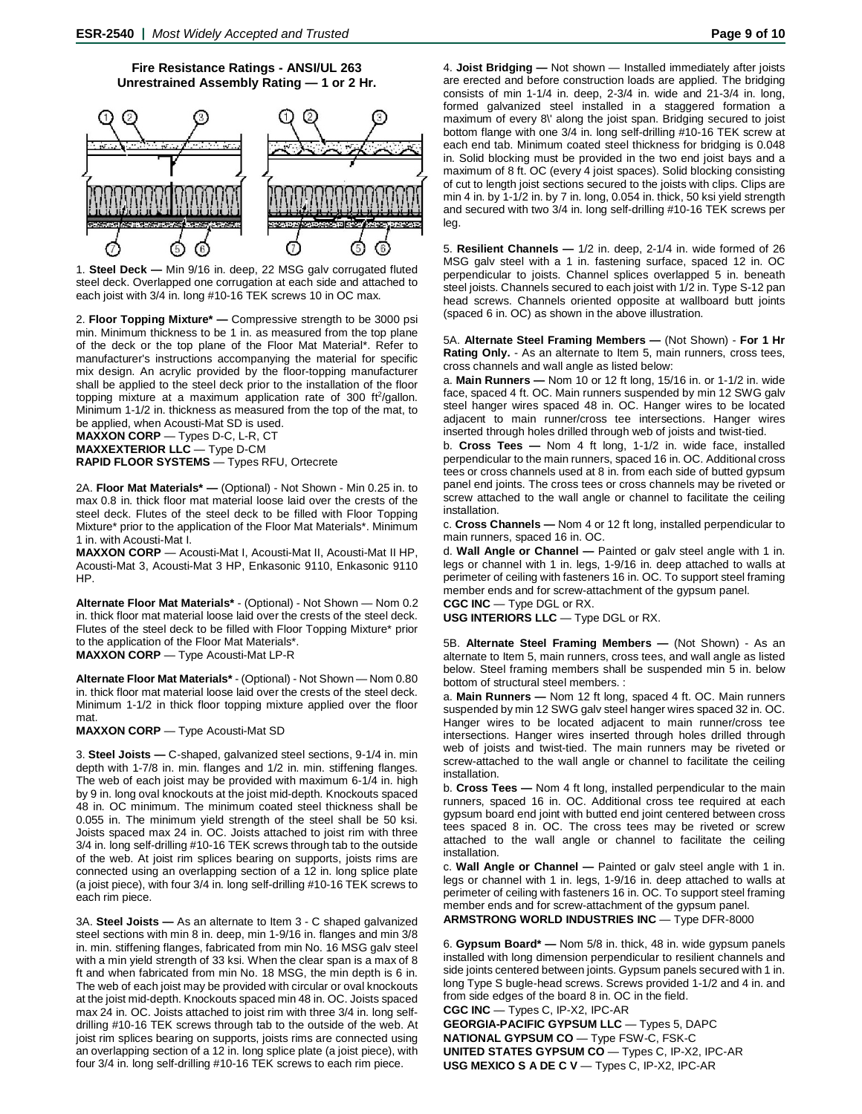#### **Fire Resistance Ratings - ANSI/UL 263 Unrestrained Assembly Rating — 1 or 2 Hr.**



1. **Steel Deck —** Min 9/16 in. deep, 22 MSG galv corrugated fluted steel deck. Overlapped one corrugation at each side and attached to each joist with 3/4 in. long #10-16 TEK screws 10 in OC max.

2. **Floor Topping Mixture\* —** Compressive strength to be 3000 psi min. Minimum thickness to be 1 in. as measured from the top plane of the deck or the top plane of the Floor Mat Material\*. Refer to manufacturer's instructions accompanying the material for specific mix design. An acrylic provided by the floor-topping manufacturer shall be applied to the steel deck prior to the installation of the floor topping mixture at a maximum application rate of 300 ft<sup>2</sup>/gallon. Minimum 1-1/2 in. thickness as measured from the top of the mat, to be applied, when Acousti-Mat SD is used. **MAXXON CORP** — Types D-C, L-R, CT

**MAXXEXTERIOR LLC** — Type D-CM

**RAPID FLOOR SYSTEMS** — Types RFU, Ortecrete

2A. **Floor Mat Materials\* —** (Optional) - Not Shown - Min 0.25 in. to max 0.8 in. thick floor mat material loose laid over the crests of the steel deck. Flutes of the steel deck to be filled with Floor Topping Mixture\* prior to the application of the Floor Mat Materials\*. Minimum 1 in. with Acousti-Mat I.

**MAXXON CORP** — Acousti-Mat I, Acousti-Mat II, Acousti-Mat II HP, Acousti-Mat 3, Acousti-Mat 3 HP, Enkasonic 9110, Enkasonic 9110 HP.

**Alternate Floor Mat Materials\*** - (Optional) - Not Shown — Nom 0.2 in. thick floor mat material loose laid over the crests of the steel deck. Flutes of the steel deck to be filled with Floor Topping Mixture\* prior to the application of the Floor Mat Materials\*.

**MAXXON CORP** — Type Acousti-Mat LP-R

**Alternate Floor Mat Materials\*** - (Optional) - Not Shown — Nom 0.80 in. thick floor mat material loose laid over the crests of the steel deck. Minimum 1-1/2 in thick floor topping mixture applied over the floor mat.

#### **MAXXON CORP** — Type Acousti-Mat SD

3. **Steel Joists —** C-shaped, galvanized steel sections, 9-1/4 in. min depth with 1-7/8 in. min. flanges and 1/2 in. min. stiffening flanges. The web of each joist may be provided with maximum 6-1/4 in. high by 9 in. long oval knockouts at the joist mid-depth. Knockouts spaced 48 in. OC minimum. The minimum coated steel thickness shall be 0.055 in. The minimum yield strength of the steel shall be 50 ksi. Joists spaced max 24 in. OC. Joists attached to joist rim with three 3/4 in. long self-drilling #10-16 TEK screws through tab to the outside of the web. At joist rim splices bearing on supports, joists rims are connected using an overlapping section of a 12 in. long splice plate (a joist piece), with four 3/4 in. long self-drilling #10-16 TEK screws to each rim piece.

3A. **Steel Joists —** As an alternate to Item 3 - C shaped galvanized steel sections with min 8 in. deep, min 1-9/16 in. flanges and min 3/8 in. min. stiffening flanges, fabricated from min No. 16 MSG galv steel with a min yield strength of 33 ksi. When the clear span is a max of 8 ft and when fabricated from min No. 18 MSG, the min depth is 6 in. The web of each joist may be provided with circular or oval knockouts at the joist mid-depth. Knockouts spaced min 48 in. OC. Joists spaced max 24 in. OC. Joists attached to joist rim with three 3/4 in. long selfdrilling #10-16 TEK screws through tab to the outside of the web. At joist rim splices bearing on supports, joists rims are connected using an overlapping section of a 12 in. long splice plate (a joist piece), with four 3/4 in. long self-drilling #10-16 TEK screws to each rim piece.

4. **Joist Bridging —** Not shown — Installed immediately after joists are erected and before construction loads are applied. The bridging consists of min 1-1/4 in. deep, 2-3/4 in. wide and 21-3/4 in. long, formed galvanized steel installed in a staggered formation a maximum of every 8\' along the joist span. Bridging secured to joist bottom flange with one 3/4 in. long self-drilling #10-16 TEK screw at each end tab. Minimum coated steel thickness for bridging is 0.048 in. Solid blocking must be provided in the two end joist bays and a maximum of 8 ft. OC (every 4 joist spaces). Solid blocking consisting of cut to length joist sections secured to the joists with clips. Clips are min 4 in. by 1-1/2 in. by 7 in. long, 0.054 in. thick, 50 ksi yield strength and secured with two 3/4 in. long self-drilling #10-16 TEK screws per leg.

5. **Resilient Channels —** 1/2 in. deep, 2-1/4 in. wide formed of 26 MSG galv steel with a 1 in. fastening surface, spaced 12 in. OC perpendicular to joists. Channel splices overlapped 5 in. beneath steel joists. Channels secured to each joist with 1/2 in. Type S-12 pan head screws. Channels oriented opposite at wallboard butt joints (spaced 6 in. OC) as shown in the above illustration.

5A. **Alternate Steel Framing Members —** (Not Shown) - **For 1 Hr Rating Only.** - As an alternate to Item 5, main runners, cross tees, cross channels and wall angle as listed below:

a. **Main Runners —** Nom 10 or 12 ft long, 15/16 in. or 1-1/2 in. wide face, spaced 4 ft. OC. Main runners suspended by min 12 SWG galv steel hanger wires spaced 48 in. OC. Hanger wires to be located adjacent to main runner/cross tee intersections. Hanger wires inserted through holes drilled through web of joists and twist-tied.

b. **Cross Tees —** Nom 4 ft long, 1-1/2 in. wide face, installed perpendicular to the main runners, spaced 16 in. OC. Additional cross tees or cross channels used at 8 in. from each side of butted gypsum panel end joints. The cross tees or cross channels may be riveted or screw attached to the wall angle or channel to facilitate the ceiling installation.

c. **Cross Channels —** Nom 4 or 12 ft long, installed perpendicular to main runners, spaced 16 in. OC.

d. **Wall Angle or Channel —** Painted or galv steel angle with 1 in. legs or channel with 1 in. legs, 1-9/16 in. deep attached to walls at perimeter of ceiling with fasteners 16 in. OC. To support steel framing member ends and for screw-attachment of the gypsum panel.

**CGC INC** — Type DGL or RX. **USG INTERIORS LLC** — Type DGL or RX.

5B. **Alternate Steel Framing Members —** (Not Shown) - As an alternate to Item 5, main runners, cross tees, and wall angle as listed below. Steel framing members shall be suspended min 5 in. below bottom of structural steel members. :

a. **Main Runners —** Nom 12 ft long, spaced 4 ft. OC. Main runners suspended by min 12 SWG galv steel hanger wires spaced 32 in. OC. Hanger wires to be located adjacent to main runner/cross tee intersections. Hanger wires inserted through holes drilled through web of joists and twist-tied. The main runners may be riveted or screw-attached to the wall angle or channel to facilitate the ceiling installation.

b. **Cross Tees —** Nom 4 ft long, installed perpendicular to the main runners, spaced 16 in. OC. Additional cross tee required at each gypsum board end joint with butted end joint centered between cross tees spaced 8 in. OC. The cross tees may be riveted or screw attached to the wall angle or channel to facilitate the ceiling installation.

c. **Wall Angle or Channel —** Painted or galv steel angle with 1 in. legs or channel with 1 in. legs, 1-9/16 in. deep attached to walls at perimeter of ceiling with fasteners 16 in. OC. To support steel framing member ends and for screw-attachment of the gypsum panel. **ARMSTRONG WORLD INDUSTRIES INC** — Type DFR-8000

6. **Gypsum Board\* —** Nom 5/8 in. thick, 48 in. wide gypsum panels installed with long dimension perpendicular to resilient channels and side joints centered between joints. Gypsum panels secured with 1 in. long Type S bugle-head screws. Screws provided 1-1/2 and 4 in. and from side edges of the board 8 in. OC in the field.

**CGC INC** — Types C, IP-X2, IPC-AR **GEORGIA-PACIFIC GYPSUM LLC** — Types 5, DAPC **NATIONAL GYPSUM CO** — Type FSW-C, FSK-C **UNITED STATES GYPSUM CO** — Types C, IP-X2, IPC-AR **USG MEXICO S A DE C V** — Types C, IP-X2, IPC-AR